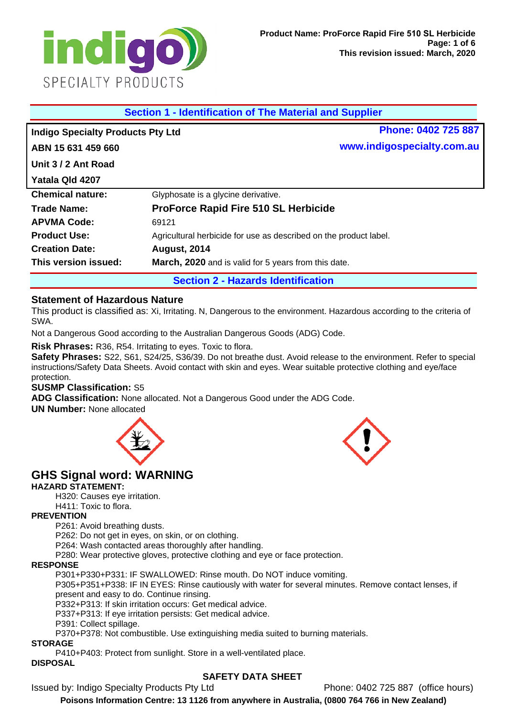

| <b>Section 1 - Identification of The Material and Supplier</b> |                                                                   |                            |  |  |
|----------------------------------------------------------------|-------------------------------------------------------------------|----------------------------|--|--|
| <b>Indigo Specialty Products Pty Ltd</b>                       |                                                                   | Phone: 0402 725 887        |  |  |
| ABN 15 631 459 660                                             |                                                                   | www.indigospecialty.com.au |  |  |
| Unit 3/2 Ant Road                                              |                                                                   |                            |  |  |
| Yatala Qld 4207                                                |                                                                   |                            |  |  |
| <b>Chemical nature:</b>                                        | Glyphosate is a glycine derivative.                               |                            |  |  |
| Trade Name:                                                    | <b>ProForce Rapid Fire 510 SL Herbicide</b>                       |                            |  |  |
| <b>APVMA Code:</b>                                             | 69121                                                             |                            |  |  |
| <b>Product Use:</b>                                            | Agricultural herbicide for use as described on the product label. |                            |  |  |
| <b>Creation Date:</b>                                          | <b>August, 2014</b>                                               |                            |  |  |
| This version issued:                                           | March, 2020 and is valid for 5 years from this date.              |                            |  |  |
|                                                                | <b>Section 2 - Hazards Identification</b>                         |                            |  |  |

## **Statement of Hazardous Nature**

This product is classified as: Xi, Irritating. N, Dangerous to the environment. Hazardous according to the criteria of SWA.

Not a Dangerous Good according to the Australian Dangerous Goods (ADG) Code.

**Risk Phrases:** R36, R54. Irritating to eyes. Toxic to flora.

**Safety Phrases:** S22, S61, S24/25, S36/39. Do not breathe dust. Avoid release to the environment. Refer to special instructions/Safety Data Sheets. Avoid contact with skin and eyes. Wear suitable protective clothing and eye/face protection.

#### **SUSMP Classification:** S5

**ADG Classification:** None allocated. Not a Dangerous Good under the ADG Code.

**UN Number:** None allocated



# **GHS Signal word: WARNING**

#### **HAZARD STATEMENT:**

H320: Causes eye irritation.

H411: Toxic to flora.

#### **PREVENTION**

P261: Avoid breathing dusts.

P262: Do not get in eyes, on skin, or on clothing.

P264: Wash contacted areas thoroughly after handling.

P280: Wear protective gloves, protective clothing and eye or face protection.

#### **RESPONSE**

P301+P330+P331: IF SWALLOWED: Rinse mouth. Do NOT induce vomiting.

P305+P351+P338: IF IN EYES: Rinse cautiously with water for several minutes. Remove contact lenses, if present and easy to do. Continue rinsing.

P332+P313: If skin irritation occurs: Get medical advice.

P337+P313: If eye irritation persists: Get medical advice.

P391: Collect spillage.

P370+P378: Not combustible. Use extinguishing media suited to burning materials.

#### **STORAGE**

P410+P403: Protect from sunlight. Store in a well-ventilated place.

#### **DISPOSAL**

## **SAFETY DATA SHEET**

Issued by: Indigo Specialty Products Pty Ltd Phone: 0402 725 887 (office hours)

**Poisons Information Centre: 13 1126 from anywhere in Australia, (0800 764 766 in New Zealand)**

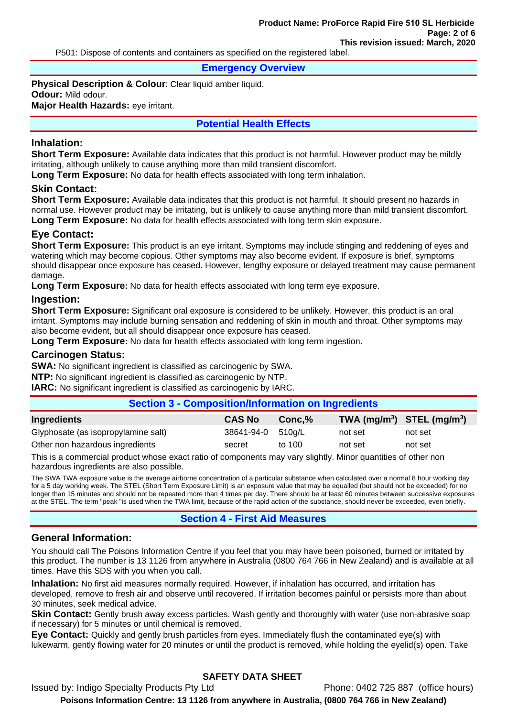P501: Dispose of contents and containers as specified on the registered label.

**Emergency Overview**

**Physical Description & Colour**: Clear liquid amber liquid. **Odour:** Mild odour. **Major Health Hazards:** eye irritant.

# **Potential Health Effects**

## **Inhalation:**

**Short Term Exposure:** Available data indicates that this product is not harmful. However product may be mildly irritating, although unlikely to cause anything more than mild transient discomfort.

**Long Term Exposure:** No data for health effects associated with long term inhalation.

## **Skin Contact:**

**Short Term Exposure:** Available data indicates that this product is not harmful. It should present no hazards in normal use. However product may be irritating, but is unlikely to cause anything more than mild transient discomfort. **Long Term Exposure:** No data for health effects associated with long term skin exposure.

# **Eye Contact:**

**Short Term Exposure:** This product is an eye irritant. Symptoms may include stinging and reddening of eyes and watering which may become copious. Other symptoms may also become evident. If exposure is brief, symptoms should disappear once exposure has ceased. However, lengthy exposure or delayed treatment may cause permanent damage.

**Long Term Exposure:** No data for health effects associated with long term eye exposure.

## **Ingestion:**

**Short Term Exposure:** Significant oral exposure is considered to be unlikely. However, this product is an oral irritant. Symptoms may include burning sensation and reddening of skin in mouth and throat. Other symptoms may also become evident, but all should disappear once exposure has ceased.

**Long Term Exposure:** No data for health effects associated with long term ingestion.

## **Carcinogen Status:**

**SWA:** No significant ingredient is classified as carcinogenic by SWA.

**NTP:** No significant ingredient is classified as carcinogenic by NTP.

**IARC:** No significant ingredient is classified as carcinogenic by IARC.

| <b>Section 3 - Composition/Information on Ingredients</b> |                   |          |                                |         |  |
|-----------------------------------------------------------|-------------------|----------|--------------------------------|---------|--|
| <b>Ingredients</b>                                        | <b>CAS No</b>     | Conc.%   | TWA $(mg/m^3)$ STEL $(mg/m^3)$ |         |  |
| Glyphosate (as isopropylamine salt)                       | 38641-94-0 510g/L |          | not set                        | not set |  |
| Other non hazardous ingredients                           | secret            | to $100$ | not set                        | not set |  |

This is a commercial product whose exact ratio of components may vary slightly. Minor quantities of other non hazardous ingredients are also possible.

The SWA TWA exposure value is the average airborne concentration of a particular substance when calculated over a normal 8 hour working day for a 5 day working week. The STEL (Short Term Exposure Limit) is an exposure value that may be equalled (but should not be exceeded) for no longer than 15 minutes and should not be repeated more than 4 times per day. There should be at least 60 minutes between successive exposures at the STEL. The term "peak "is used when the TWA limit, because of the rapid action of the substance, should never be exceeded, even briefly.

# **Section 4 - First Aid Measures**

## **General Information:**

You should call The Poisons Information Centre if you feel that you may have been poisoned, burned or irritated by this product. The number is 13 1126 from anywhere in Australia (0800 764 766 in New Zealand) and is available at all times. Have this SDS with you when you call.

**Inhalation:** No first aid measures normally required. However, if inhalation has occurred, and irritation has developed, remove to fresh air and observe until recovered. If irritation becomes painful or persists more than about 30 minutes, seek medical advice.

**Skin Contact:** Gently brush away excess particles. Wash gently and thoroughly with water (use non-abrasive soap if necessary) for 5 minutes or until chemical is removed.

**Eye Contact:** Quickly and gently brush particles from eyes. Immediately flush the contaminated eye(s) with lukewarm, gently flowing water for 20 minutes or until the product is removed, while holding the eyelid(s) open. Take

# **SAFETY DATA SHEET**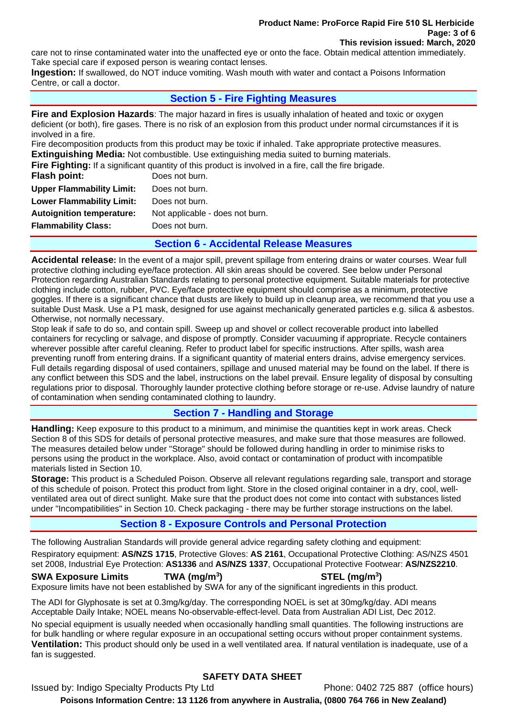care not to rinse contaminated water into the unaffected eye or onto the face. Obtain medical attention immediately. Take special care if exposed person is wearing contact lenses.

**Ingestion:** If swallowed, do NOT induce vomiting. Wash mouth with water and contact a Poisons Information Centre, or call a doctor.

# **Section 5 - Fire Fighting Measures**

**Fire and Explosion Hazards**: The major hazard in fires is usually inhalation of heated and toxic or oxygen deficient (or both), fire gases. There is no risk of an explosion from this product under normal circumstances if it is involved in a fire.

Fire decomposition products from this product may be toxic if inhaled. Take appropriate protective measures. **Extinguishing Media:** Not combustible. Use extinguishing media suited to burning materials.

**Fire Fighting:** If a significant quantity of this product is involved in a fire, call the fire brigade.

| Flash point:                     | Does not burn.                  |
|----------------------------------|---------------------------------|
| <b>Upper Flammability Limit:</b> | Does not burn.                  |
| <b>Lower Flammability Limit:</b> | Does not burn.                  |
| <b>Autoignition temperature:</b> | Not applicable - does not burn. |
| <b>Flammability Class:</b>       | Does not burn.                  |
|                                  |                                 |

## **Section 6 - Accidental Release Measures**

**Accidental release:** In the event of a major spill, prevent spillage from entering drains or water courses. Wear full protective clothing including eye/face protection. All skin areas should be covered. See below under Personal Protection regarding Australian Standards relating to personal protective equipment. Suitable materials for protective clothing include cotton, rubber, PVC. Eye/face protective equipment should comprise as a minimum, protective goggles. If there is a significant chance that dusts are likely to build up in cleanup area, we recommend that you use a suitable Dust Mask. Use a P1 mask, designed for use against mechanically generated particles e.g. silica & asbestos. Otherwise, not normally necessary.

Stop leak if safe to do so, and contain spill. Sweep up and shovel or collect recoverable product into labelled containers for recycling or salvage, and dispose of promptly. Consider vacuuming if appropriate. Recycle containers wherever possible after careful cleaning. Refer to product label for specific instructions. After spills, wash area preventing runoff from entering drains. If a significant quantity of material enters drains, advise emergency services. Full details regarding disposal of used containers, spillage and unused material may be found on the label. If there is any conflict between this SDS and the label, instructions on the label prevail. Ensure legality of disposal by consulting regulations prior to disposal. Thoroughly launder protective clothing before storage or re-use. Advise laundry of nature of contamination when sending contaminated clothing to laundry.

# **Section 7 - Handling and Storage**

**Handling:** Keep exposure to this product to a minimum, and minimise the quantities kept in work areas. Check Section 8 of this SDS for details of personal protective measures, and make sure that those measures are followed. The measures detailed below under "Storage" should be followed during handling in order to minimise risks to persons using the product in the workplace. Also, avoid contact or contamination of product with incompatible materials listed in Section 10.

**Storage:** This product is a Scheduled Poison. Observe all relevant regulations regarding sale, transport and storage of this schedule of poison. Protect this product from light. Store in the closed original container in a dry, cool, wellventilated area out of direct sunlight. Make sure that the product does not come into contact with substances listed under "Incompatibilities" in Section 10. Check packaging - there may be further storage instructions on the label.

# **Section 8 - Exposure Controls and Personal Protection**

The following Australian Standards will provide general advice regarding safety clothing and equipment:

Respiratory equipment: **AS/NZS 1715**, Protective Gloves: **AS 2161**, Occupational Protective Clothing: AS/NZS 4501 set 2008, Industrial Eye Protection: **AS1336** and **AS/NZS 1337**, Occupational Protective Footwear: **AS/NZS2210**.

## **SWA Exposure Limits TWA (mg/m3**

**) STEL (mg/m<sup>3</sup> )** 

Exposure limits have not been established by SWA for any of the significant ingredients in this product.

The ADI for Glyphosate is set at 0.3mg/kg/day. The corresponding NOEL is set at 30mg/kg/day. ADI means Acceptable Daily Intake; NOEL means No-observable-effect-level. Data from Australian ADI List, Dec 2012.

No special equipment is usually needed when occasionally handling small quantities. The following instructions are for bulk handling or where regular exposure in an occupational setting occurs without proper containment systems. **Ventilation:** This product should only be used in a well ventilated area. If natural ventilation is inadequate, use of a fan is suggested.

# **SAFETY DATA SHEET**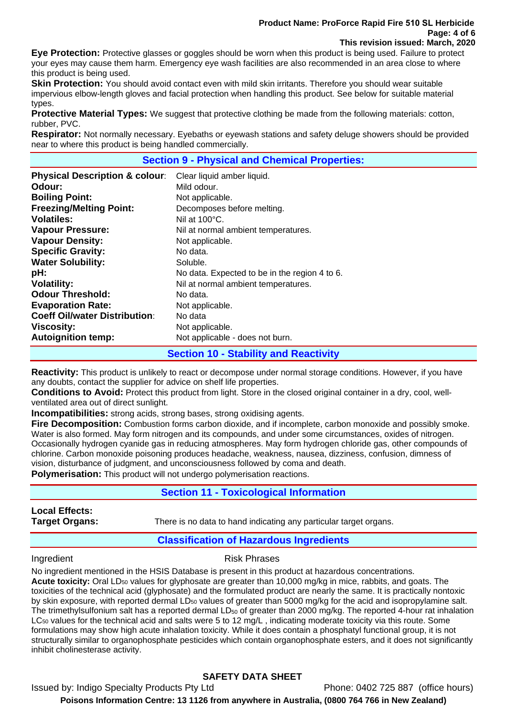#### **Product Name: ProForce Rapid Fire 510 SL Herbicide Page: 4 of 6 This revision issued: March, 2020**

**Eye Protection:** Protective glasses or goggles should be worn when this product is being used. Failure to protect your eyes may cause them harm. Emergency eye wash facilities are also recommended in an area close to where this product is being used.

**Skin Protection:** You should avoid contact even with mild skin irritants. Therefore you should wear suitable impervious elbow-length gloves and facial protection when handling this product. See below for suitable material types.

**Protective Material Types:** We suggest that protective clothing be made from the following materials: cotton, rubber, PVC.

**Respirator:** Not normally necessary. Eyebaths or eyewash stations and safety deluge showers should be provided near to where this product is being handled commercially.

#### **Section 9 - Physical and Chemical Properties:**

| <b>Physical Description &amp; colour:</b> | Clear liquid amber liquid.                    |
|-------------------------------------------|-----------------------------------------------|
| Odour:                                    | Mild odour.                                   |
| <b>Boiling Point:</b>                     | Not applicable.                               |
| <b>Freezing/Melting Point:</b>            | Decomposes before melting.                    |
| <b>Volatiles:</b>                         | Nil at $100^{\circ}$ C.                       |
| <b>Vapour Pressure:</b>                   | Nil at normal ambient temperatures.           |
| <b>Vapour Density:</b>                    | Not applicable.                               |
| <b>Specific Gravity:</b>                  | No data.                                      |
| <b>Water Solubility:</b>                  | Soluble.                                      |
| pH:                                       | No data. Expected to be in the region 4 to 6. |
| <b>Volatility:</b>                        | Nil at normal ambient temperatures.           |
| <b>Odour Threshold:</b>                   | No data.                                      |
| <b>Evaporation Rate:</b>                  | Not applicable.                               |
| <b>Coeff Oil/water Distribution:</b>      | No data                                       |
| <b>Viscosity:</b>                         | Not applicable.                               |
| <b>Autoignition temp:</b>                 | Not applicable - does not burn.               |
|                                           | <b>Section 10 - Stability and Reactivity</b>  |

**Reactivity:** This product is unlikely to react or decompose under normal storage conditions. However, if you have any doubts, contact the supplier for advice on shelf life properties.

**Conditions to Avoid:** Protect this product from light. Store in the closed original container in a dry, cool, wellventilated area out of direct sunlight.

**Incompatibilities:** strong acids, strong bases, strong oxidising agents.

**Fire Decomposition:** Combustion forms carbon dioxide, and if incomplete, carbon monoxide and possibly smoke. Water is also formed. May form nitrogen and its compounds, and under some circumstances, oxides of nitrogen. Occasionally hydrogen cyanide gas in reducing atmospheres. May form hydrogen chloride gas, other compounds of chlorine. Carbon monoxide poisoning produces headache, weakness, nausea, dizziness, confusion, dimness of vision, disturbance of judgment, and unconsciousness followed by coma and death. **Polymerisation:** This product will not undergo polymerisation reactions.

**Section 11 - Toxicological Information**

**Local Effects:** 

**Target Organs:** There is no data to hand indicating any particular target organs.

## **Classification of Hazardous Ingredients**

#### Ingredient **Risk Phrases**

No ingredient mentioned in the HSIS Database is present in this product at hazardous concentrations. Acute toxicity: Oral LD<sub>50</sub> values for glyphosate are greater than 10,000 mg/kg in mice, rabbits, and goats. The toxicities of the technical acid (glyphosate) and the formulated product are nearly the same. It is practically nontoxic by skin exposure, with reported dermal  $LD_{50}$  values of greater than 5000 mg/kg for the acid and isopropylamine salt. The trimethylsulfonium salt has a reported dermal  $LD_{50}$  of greater than 2000 mg/kg. The reported 4-hour rat inhalation LC<sub>50</sub> values for the technical acid and salts were 5 to 12 mg/L, indicating moderate toxicity via this route. Some formulations may show high acute inhalation toxicity. While it does contain a phosphatyl functional group, it is not structurally similar to organophosphate pesticides which contain organophosphate esters, and it does not significantly inhibit cholinesterase activity.

# **SAFETY DATA SHEET**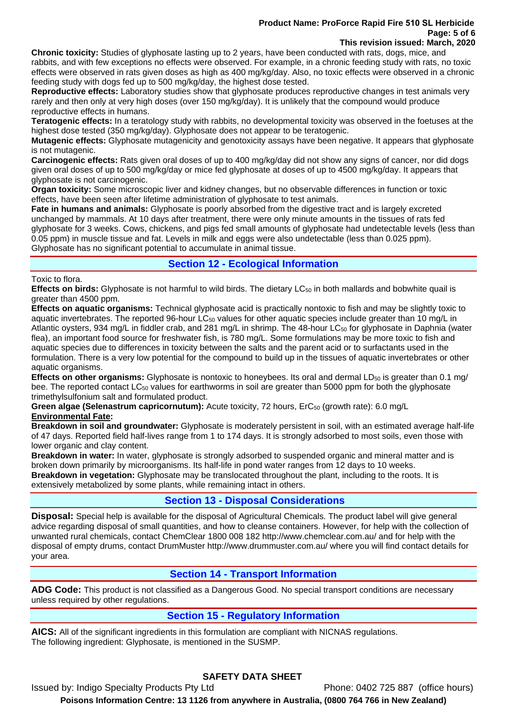#### **Product Name: ProForce Rapid Fire 510 SL Herbicide Page: 5 of 6 This revision issued: March, 2020**

**Chronic toxicity:** Studies of glyphosate lasting up to 2 years, have been conducted with rats, dogs, mice, and rabbits, and with few exceptions no effects were observed. For example, in a chronic feeding study with rats, no toxic effects were observed in rats given doses as high as 400 mg/kg/day. Also, no toxic effects were observed in a chronic feeding study with dogs fed up to 500 mg/kg/day, the highest dose tested.

**Reproductive effects:** Laboratory studies show that glyphosate produces reproductive changes in test animals very rarely and then only at very high doses (over 150 mg/kg/day). It is unlikely that the compound would produce reproductive effects in humans.

**Teratogenic effects:** In a teratology study with rabbits, no developmental toxicity was observed in the foetuses at the highest dose tested (350 mg/kg/day). Glyphosate does not appear to be teratogenic.

**Mutagenic effects:** Glyphosate mutagenicity and genotoxicity assays have been negative. It appears that glyphosate is not mutagenic.

**Carcinogenic effects:** Rats given oral doses of up to 400 mg/kg/day did not show any signs of cancer, nor did dogs given oral doses of up to 500 mg/kg/day or mice fed glyphosate at doses of up to 4500 mg/kg/day. It appears that glyphosate is not carcinogenic.

**Organ toxicity:** Some microscopic liver and kidney changes, but no observable differences in function or toxic effects, have been seen after lifetime administration of glyphosate to test animals.

**Fate in humans and animals:** Glyphosate is poorly absorbed from the digestive tract and is largely excreted unchanged by mammals. At 10 days after treatment, there were only minute amounts in the tissues of rats fed glyphosate for 3 weeks. Cows, chickens, and pigs fed small amounts of glyphosate had undetectable levels (less than 0.05 ppm) in muscle tissue and fat. Levels in milk and eggs were also undetectable (less than 0.025 ppm). Glyphosate has no significant potential to accumulate in animal tissue.

# **Section 12 - Ecological Information**

Toxic to flora.

**Effects on birds:** Glyphosate is not harmful to wild birds. The dietary LC50 in both mallards and bobwhite quail is greater than 4500 ppm.

**Effects on aquatic organisms:** Technical glyphosate acid is practically nontoxic to fish and may be slightly toxic to aquatic invertebrates. The reported 96-hour  $LG_{50}$  values for other aquatic species include greater than 10 mg/L in Atlantic oysters, 934 mg/L in fiddler crab, and 281 mg/L in shrimp. The 48-hour LC<sub>50</sub> for glyphosate in Daphnia (water flea), an important food source for freshwater fish, is 780 mg/L. Some formulations may be more toxic to fish and aquatic species due to differences in toxicity between the salts and the parent acid or to surfactants used in the formulation. There is a very low potential for the compound to build up in the tissues of aquatic invertebrates or other aquatic organisms.

**Effects on other organisms:** Glyphosate is nontoxic to honeybees. Its oral and dermal LD<sub>50</sub> is greater than 0.1 mg/ bee. The reported contact LC<sub>50</sub> values for earthworms in soil are greater than 5000 ppm for both the glyphosate trimethylsulfonium salt and formulated product.

**Green algae (Selenastrum capricornutum):** Acute toxicity, 72 hours, ErC<sub>50</sub> (growth rate): 6.0 mg/L **Environmental Fate:** 

**Breakdown in soil and groundwater:** Glyphosate is moderately persistent in soil, with an estimated average half-life of 47 days. Reported field half-lives range from 1 to 174 days. It is strongly adsorbed to most soils, even those with lower organic and clay content.

**Breakdown in water:** In water, glyphosate is strongly adsorbed to suspended organic and mineral matter and is broken down primarily by microorganisms. Its half-life in pond water ranges from 12 days to 10 weeks.

**Breakdown in vegetation:** Glyphosate may be translocated throughout the plant, including to the roots. It is extensively metabolized by some plants, while remaining intact in others.

# **Section 13 - Disposal Considerations**

**Disposal:** Special help is available for the disposal of Agricultural Chemicals. The product label will give general advice regarding disposal of small quantities, and how to cleanse containers. However, for help with the collection of unwanted rural chemicals, contact ChemClear 1800 008 182 http://www.chemclear.com.au/ and for help with the disposal of empty drums, contact DrumMuster http://www.drummuster.com.au/ where you will find contact details for your area.

# **Section 14 - Transport Information**

**ADG Code:** This product is not classified as a Dangerous Good. No special transport conditions are necessary unless required by other regulations.

# **Section 15 - Regulatory Information**

**AICS:** All of the significant ingredients in this formulation are compliant with NICNAS regulations. The following ingredient: Glyphosate, is mentioned in the SUSMP.

# **SAFETY DATA SHEET**